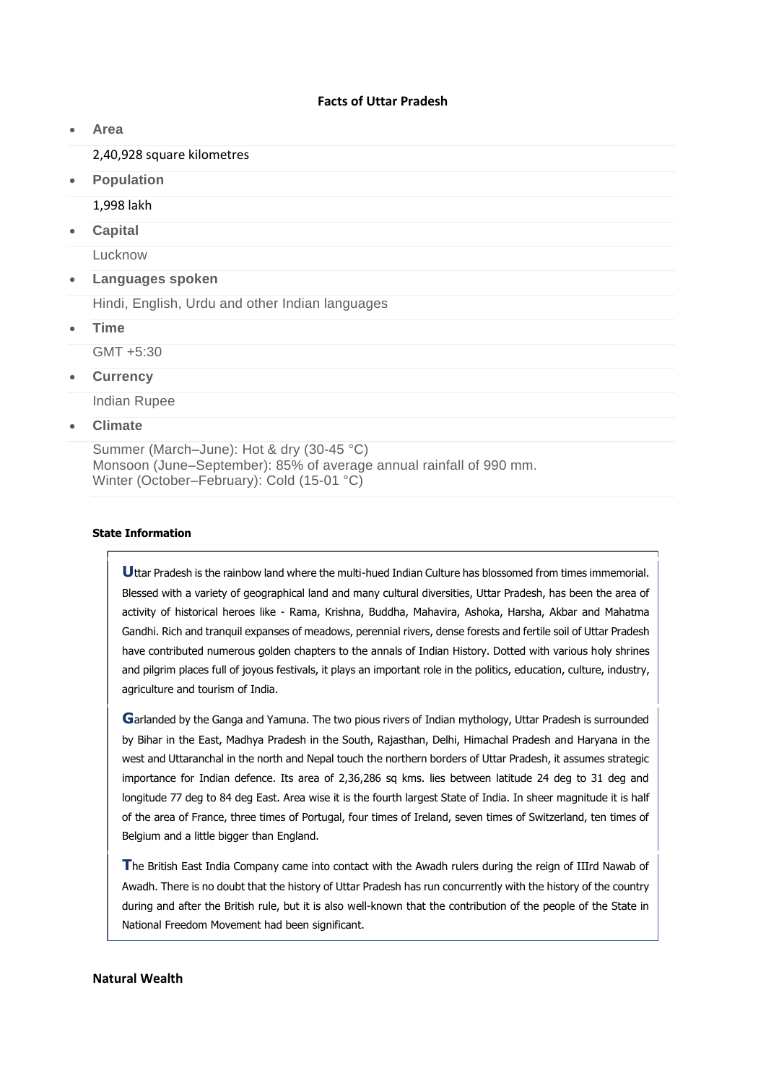### **Facts of Uttar Pradesh**

**Area**

### 2,40,928 square kilometres

**Population**

## 1,998 lakh

**Capital**

Lucknow

**Languages spoken**

Hindi, English, Urdu and other Indian languages

**Time**

GMT +5:30

**Currency**

Indian Rupee

**Climate**

Summer (March–June): Hot & dry (30-45 °C) Monsoon (June–September): 85% of average annual rainfall of 990 mm. Winter (October–February): Cold (15-01 °C)

### **State Information**

**U**ttar Pradesh is the rainbow land where the multi-hued Indian Culture has blossomed from times immemorial. Blessed with a variety of geographical land and many cultural diversities, Uttar Pradesh, has been the area of activity of historical heroes like - Rama, Krishna, Buddha, Mahavira, Ashoka, Harsha, Akbar and Mahatma Gandhi. Rich and tranquil expanses of meadows, perennial rivers, dense forests and fertile soil of Uttar Pradesh have contributed numerous golden chapters to the annals of Indian History. Dotted with various holy shrines and pilgrim places full of joyous festivals, it plays an important role in the politics, education, culture, industry, agriculture and tourism of India.

**G**arlanded by the Ganga and Yamuna. The two pious rivers of Indian mythology, Uttar Pradesh is surrounded by Bihar in the East, Madhya Pradesh in the South, Rajasthan, Delhi, Himachal Pradesh and Haryana in the west and Uttaranchal in the north and Nepal touch the northern borders of Uttar Pradesh, it assumes strategic importance for Indian defence. Its area of 2,36,286 sq kms. lies between latitude 24 deg to 31 deg and longitude 77 deg to 84 deg East. Area wise it is the fourth largest State of India. In sheer magnitude it is half of the area of France, three times of Portugal, four times of Ireland, seven times of Switzerland, ten times of Belgium and a little bigger than England.

**T**he British East India Company came into contact with the Awadh rulers during the reign of IIIrd Nawab of Awadh. There is no doubt that the history of Uttar Pradesh has run concurrently with the history of the country during and after the British rule, but it is also well-known that the contribution of the people of the State in National Freedom Movement had been significant.

#### **Natural Wealth**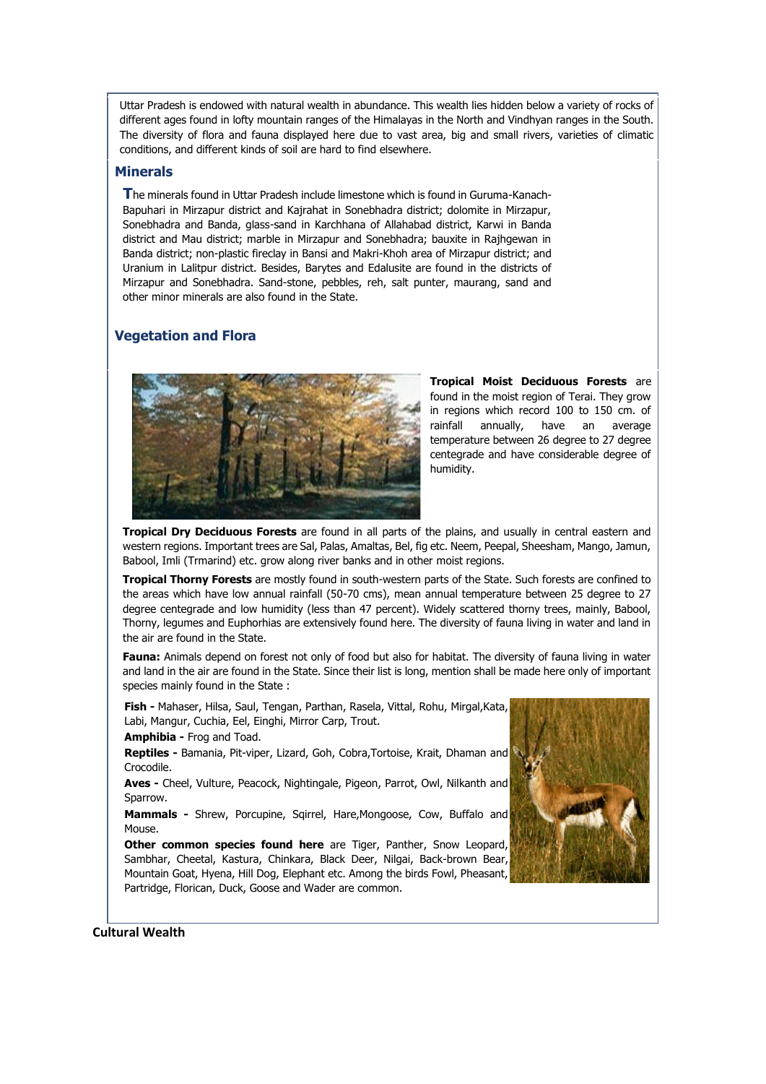Uttar Pradesh is endowed with natural wealth in abundance. This wealth lies hidden below a variety of rocks of different ages found in lofty mountain ranges of the Himalayas in the North and Vindhyan ranges in the South. The diversity of flora and fauna displayed here due to vast area, big and small rivers, varieties of climatic conditions, and different kinds of soil are hard to find elsewhere.

## **Minerals**

**T**he minerals found in Uttar Pradesh include limestone which is found in Guruma-Kanach-Bapuhari in Mirzapur district and Kajrahat in Sonebhadra district; dolomite in Mirzapur, Sonebhadra and Banda, glass-sand in Karchhana of Allahabad district, Karwi in Banda district and Mau district; marble in Mirzapur and Sonebhadra; bauxite in Rajhgewan in Banda district; non-plastic fireclay in Bansi and Makri-Khoh area of Mirzapur district; and Uranium in Lalitpur district. Besides, Barytes and Edalusite are found in the districts of Mirzapur and Sonebhadra. Sand-stone, pebbles, reh, salt punter, maurang, sand and other minor minerals are also found in the State.

# **Vegetation and Flora**



**Tropical Moist Deciduous Forests** are found in the moist region of Terai. They grow in regions which record 100 to 150 cm. of rainfall annually, have an average temperature between 26 degree to 27 degree centegrade and have considerable degree of humidity.

**Tropical Dry Deciduous Forests** are found in all parts of the plains, and usually in central eastern and western regions. Important trees are Sal, Palas, Amaltas, Bel, fig etc. Neem, Peepal, Sheesham, Mango, Jamun, Babool, Imli (Trmarind) etc. grow along river banks and in other moist regions.

**Tropical Thorny Forests** are mostly found in south-western parts of the State. Such forests are confined to the areas which have low annual rainfall (50-70 cms), mean annual temperature between 25 degree to 27 degree centegrade and low humidity (less than 47 percent). Widely scattered thorny trees, mainly, Babool, Thorny, legumes and Euphorhias are extensively found here. The diversity of fauna living in water and land in the air are found in the State.

**Fauna:** Animals depend on forest not only of food but also for habitat. The diversity of fauna living in water and land in the air are found in the State. Since their list is long, mention shall be made here only of important species mainly found in the State :

**Fish -** Mahaser, Hilsa, Saul, Tengan, Parthan, Rasela, Vittal, Rohu, Mirgal,Kata, Labi, Mangur, Cuchia, Eel, Einghi, Mirror Carp, Trout.

**Amphibia -** Frog and Toad.

**Reptiles -** Bamania, Pit-viper, Lizard, Goh, Cobra,Tortoise, Krait, Dhaman and Crocodile.

**Aves -** Cheel, Vulture, Peacock, Nightingale, Pigeon, Parrot, Owl, Nilkanth and Sparrow.

**Mammals -** Shrew, Porcupine, Sqirrel, Hare,Mongoose, Cow, Buffalo and Mouse.

**Other common species found here** are Tiger, Panther, Snow Leopard, Sambhar, Cheetal, Kastura, Chinkara, Black Deer, Nilgai, Back-brown Bear, Mountain Goat, Hyena, Hill Dog, Elephant etc. Among the birds Fowl, Pheasant, Partridge, Florican, Duck, Goose and Wader are common.



**Cultural Wealth**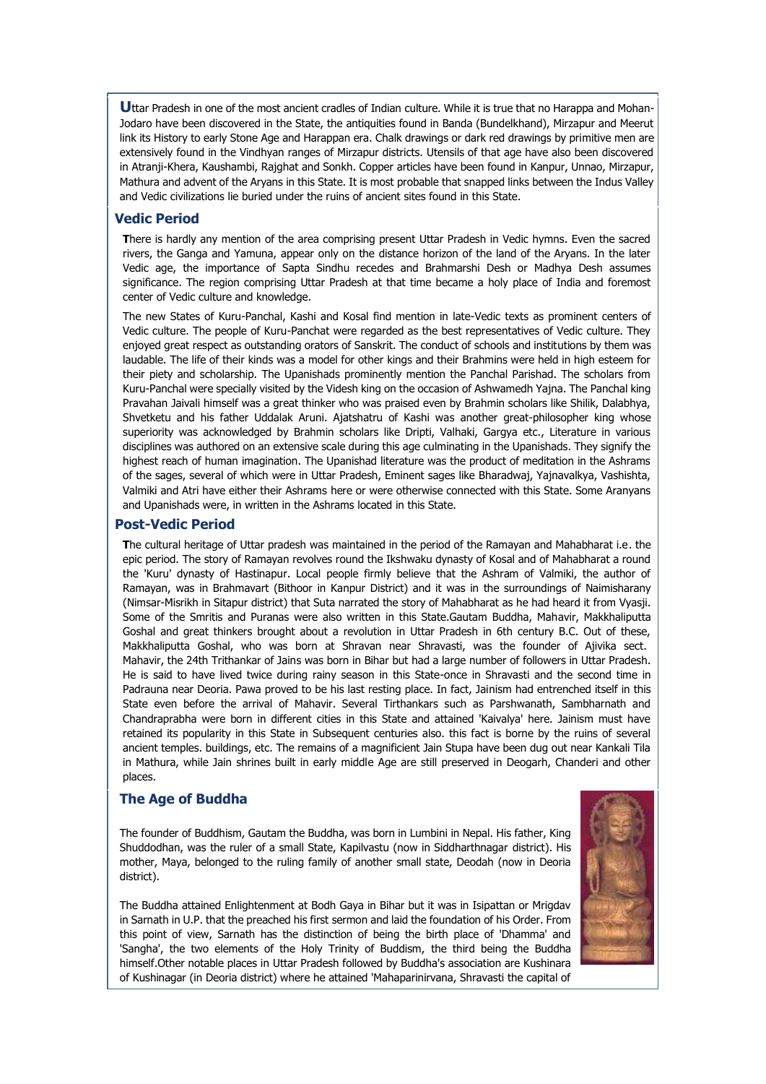**U**ttar Pradesh in one of the most ancient cradles of Indian culture. While it is true that no Harappa and Mohan-Jodaro have been discovered in the State, the antiquities found in Banda (Bundelkhand), Mirzapur and Meerut link its History to early Stone Age and Harappan era. Chalk drawings or dark red drawings by primitive men are extensively found in the Vindhyan ranges of Mirzapur districts. Utensils of that age have also been discovered in Atranji-Khera, Kaushambi, Rajghat and Sonkh. Copper articles have been found in Kanpur, Unnao, Mirzapur, Mathura and advent of the Aryans in this State. It is most probable that snapped links between the Indus Valley and Vedic civilizations lie buried under the ruins of ancient sites found in this State.

## **Vedic Period**

**T**here is hardly any mention of the area comprising present Uttar Pradesh in Vedic hymns. Even the sacred rivers, the Ganga and Yamuna, appear only on the distance horizon of the land of the Aryans. In the later Vedic age, the importance of Sapta Sindhu recedes and Brahmarshi Desh or Madhya Desh assumes significance. The region comprising Uttar Pradesh at that time became a holy place of India and foremost center of Vedic culture and knowledge.

The new States of Kuru-Panchal, Kashi and Kosal find mention in late-Vedic texts as prominent centers of Vedic culture. The people of Kuru-Panchat were regarded as the best representatives of Vedic culture. They enjoyed great respect as outstanding orators of Sanskrit. The conduct of schools and institutions by them was laudable. The life of their kinds was a model for other kings and their Brahmins were held in high esteem for their piety and scholarship. The Upanishads prominently mention the Panchal Parishad. The scholars from Kuru-Panchal were specially visited by the Videsh king on the occasion of Ashwamedh Yajna. The Panchal king Pravahan Jaivali himself was a great thinker who was praised even by Brahmin scholars like Shilik, Dalabhya, Shvetketu and his father Uddalak Aruni. Ajatshatru of Kashi was another great-philosopher king whose superiority was acknowledged by Brahmin scholars like Dripti, Valhaki, Gargya etc., Literature in various disciplines was authored on an extensive scale during this age culminating in the Upanishads. They signify the highest reach of human imagination. The Upanishad literature was the product of meditation in the Ashrams of the sages, several of which were in Uttar Pradesh, Eminent sages like Bharadwaj, Yajnavalkya, Vashishta, Valmiki and Atri have either their Ashrams here or were otherwise connected with this State. Some Aranyans and Upanishads were, in written in the Ashrams located in this State.

#### **Post-Vedic Period**

**T**he cultural heritage of Uttar pradesh was maintained in the period of the Ramayan and Mahabharat i.e. the epic period. The story of Ramayan revolves round the Ikshwaku dynasty of Kosal and of Mahabharat a round the 'Kuru' dynasty of Hastinapur. Local people firmly believe that the Ashram of Valmiki, the author of Ramayan, was in Brahmavart (Bithoor in Kanpur District) and it was in the surroundings of Naimisharany (Nimsar-Misrikh in Sitapur district) that Suta narrated the story of Mahabharat as he had heard it from Vyasji. Some of the Smritis and Puranas were also written in this State.Gautam Buddha, Mahavir, Makkhaliputta Goshal and great thinkers brought about a revolution in Uttar Pradesh in 6th century B.C. Out of these, Makkhaliputta Goshal, who was born at Shravan near Shravasti, was the founder of Ajivika sect. Mahavir, the 24th Trithankar of Jains was born in Bihar but had a large number of followers in Uttar Pradesh. He is said to have lived twice during rainy season in this State-once in Shravasti and the second time in Padrauna near Deoria. Pawa proved to be his last resting place. In fact, Jainism had entrenched itself in this State even before the arrival of Mahavir. Several Tirthankars such as Parshwanath, Sambharnath and Chandraprabha were born in different cities in this State and attained 'Kaivalya' here. Jainism must have retained its popularity in this State in Subsequent centuries also. this fact is borne by the ruins of several ancient temples. buildings, etc. The remains of a magnificient Jain Stupa have been dug out near Kankali Tila in Mathura, while Jain shrines built in early middle Age are still preserved in Deogarh, Chanderi and other places.

#### **The Age of Buddha**

The founder of Buddhism, Gautam the Buddha, was born in Lumbini in Nepal. His father, King Shuddodhan, was the ruler of a small State, Kapilvastu (now in Siddharthnagar district). His mother, Maya, belonged to the ruling family of another small state, Deodah (now in Deoria district).



The Buddha attained Enlightenment at Bodh Gaya in Bihar but it was in Isipattan or Mrigdav in Sarnath in U.P. that the preached his first sermon and laid the foundation of his Order. From this point of view, Sarnath has the distinction of being the birth place of 'Dhamma' and 'Sangha', the two elements of the Holy Trinity of Buddism, the third being the Buddha himself.Other notable places in Uttar Pradesh followed by Buddha's association are Kushinara of Kushinagar (in Deoria district) where he attained 'Mahaparinirvana, Shravasti the capital of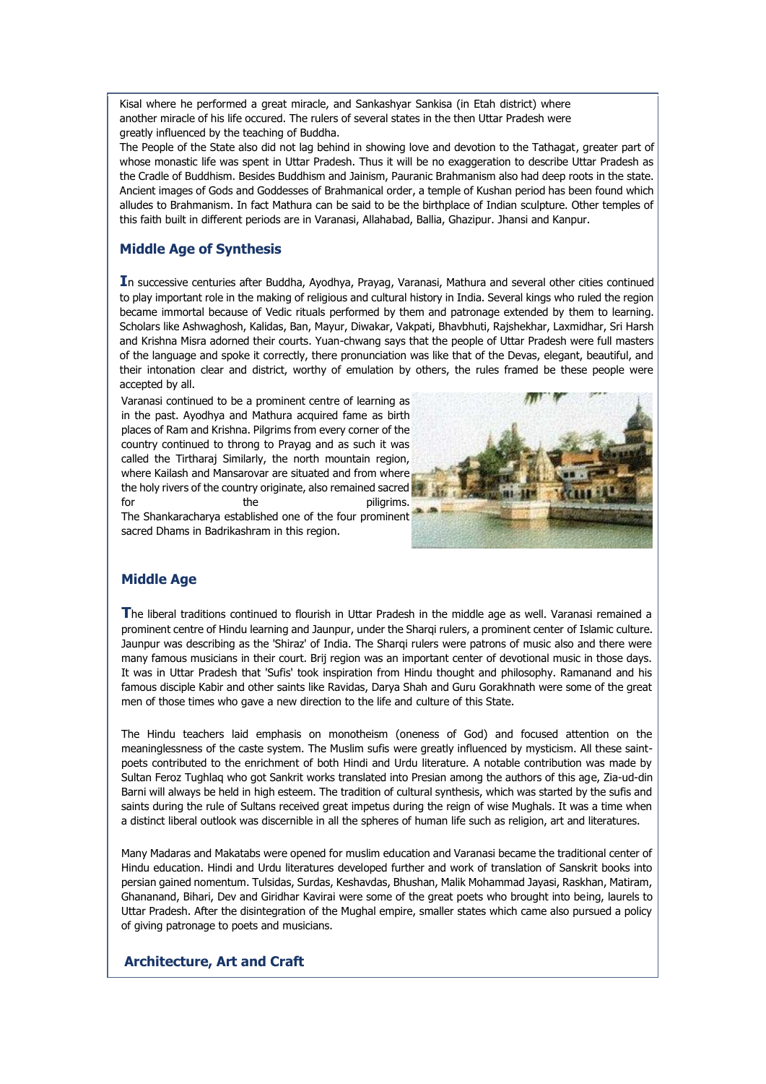Kisal where he performed a great miracle, and Sankashyar Sankisa (in Etah district) where another miracle of his life occured. The rulers of several states in the then Uttar Pradesh were greatly influenced by the teaching of Buddha.

The People of the State also did not lag behind in showing love and devotion to the Tathagat, greater part of whose monastic life was spent in Uttar Pradesh. Thus it will be no exaggeration to describe Uttar Pradesh as the Cradle of Buddhism. Besides Buddhism and Jainism, Pauranic Brahmanism also had deep roots in the state. Ancient images of Gods and Goddesses of Brahmanical order, a temple of Kushan period has been found which alludes to Brahmanism. In fact Mathura can be said to be the birthplace of Indian sculpture. Other temples of this faith built in different periods are in Varanasi, Allahabad, Ballia, Ghazipur. Jhansi and Kanpur.

# **Middle Age of Synthesis**

**I**n successive centuries after Buddha, Ayodhya, Prayag, Varanasi, Mathura and several other cities continued to play important role in the making of religious and cultural history in India. Several kings who ruled the region became immortal because of Vedic rituals performed by them and patronage extended by them to learning. Scholars like Ashwaghosh, Kalidas, Ban, Mayur, Diwakar, Vakpati, Bhavbhuti, Rajshekhar, Laxmidhar, Sri Harsh and Krishna Misra adorned their courts. Yuan-chwang says that the people of Uttar Pradesh were full masters of the language and spoke it correctly, there pronunciation was like that of the Devas, elegant, beautiful, and their intonation clear and district, worthy of emulation by others, the rules framed be these people were accepted by all.

Varanasi continued to be a prominent centre of learning as in the past. Ayodhya and Mathura acquired fame as birth places of Ram and Krishna. Pilgrims from every corner of the country continued to throng to Prayag and as such it was called the Tirtharaj Similarly, the north mountain region, where Kailash and Mansarovar are situated and from where the holy rivers of the country originate, also remained sacred for the piligrims. The Shankaracharya established one of the four prominent sacred Dhams in Badrikashram in this region.



# **Middle Age**

**T**he liberal traditions continued to flourish in Uttar Pradesh in the middle age as well. Varanasi remained a prominent centre of Hindu learning and Jaunpur, under the Sharqi rulers, a prominent center of Islamic culture. Jaunpur was describing as the 'Shiraz' of India. The Shargi rulers were patrons of music also and there were many famous musicians in their court. Brij region was an important center of devotional music in those days. It was in Uttar Pradesh that 'Sufis' took inspiration from Hindu thought and philosophy. Ramanand and his famous disciple Kabir and other saints like Ravidas, Darya Shah and Guru Gorakhnath were some of the great men of those times who gave a new direction to the life and culture of this State.

The Hindu teachers laid emphasis on monotheism (oneness of God) and focused attention on the meaninglessness of the caste system. The Muslim sufis were greatly influenced by mysticism. All these saintpoets contributed to the enrichment of both Hindi and Urdu literature. A notable contribution was made by Sultan Feroz Tughlaq who got Sankrit works translated into Presian among the authors of this age, Zia-ud-din Barni will always be held in high esteem. The tradition of cultural synthesis, which was started by the sufis and saints during the rule of Sultans received great impetus during the reign of wise Mughals. It was a time when a distinct liberal outlook was discernible in all the spheres of human life such as religion, art and literatures.

Many Madaras and Makatabs were opened for muslim education and Varanasi became the traditional center of Hindu education. Hindi and Urdu literatures developed further and work of translation of Sanskrit books into persian gained nomentum. Tulsidas, Surdas, Keshavdas, Bhushan, Malik Mohammad Jayasi, Raskhan, Matiram, Ghananand, Bihari, Dev and Giridhar Kavirai were some of the great poets who brought into being, laurels to Uttar Pradesh. After the disintegration of the Mughal empire, smaller states which came also pursued a policy of giving patronage to poets and musicians.

# **Architecture, Art and Craft**